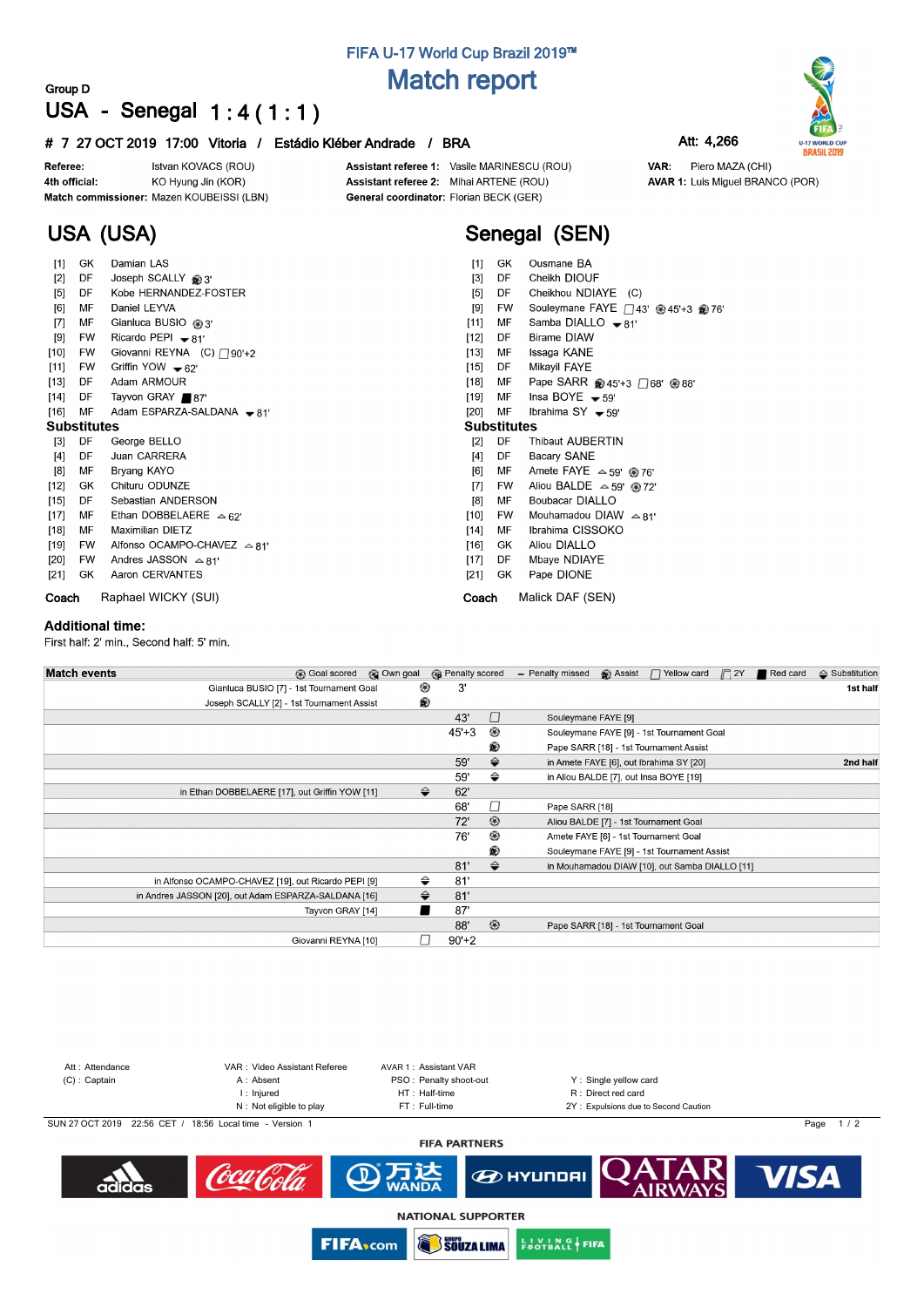## **FIFA U-17 World Cup Brazil 2019™ Match report**

### **Group D USA - Senegal 1 : 4 ( 1 : 1 )**

#### **# 7 27 OCT 2019 17:00 Vitoria / Estádio Kléber Andrade / BRA Att: 4,266**

Istvan KOVACS (ROU) Referee: 4th official: KO Hyung Jin (KOR) Match commissioner: Mazen KOUBEISSI (LBN)

**USA (USA)**

Assistant referee 1: Vasile MARINESCU (ROU) Assistant referee 2: Mihai ARTENE (ROU) General coordinator: Florian BECK (GER)

# **Senegal (SEN)**

| $[1]$              | GK        | Damian LAS                            | $[1]$<br>GK<br>Ousmane BA                                             |
|--------------------|-----------|---------------------------------------|-----------------------------------------------------------------------|
| $[2]$              | DF        | Joseph SCALLY @ 3'                    | Cheikh DIOUF<br>DF<br>$[3]$                                           |
| $[5]$              | DF        | Kobe HERNANDEZ-FOSTER                 | Cheikhou NDIAYE (C)<br>[5]<br>DF                                      |
| [6]                | MF        | Daniel LEYVA                          | Souleymane FAYE 243' <sup>3</sup> 45'+3 <sup>9</sup> 76'<br>[9]<br>FW |
| $[7]$              | МF        | Gianluca BUSIO @ 3'                   | Samba DIALLO $\bullet$ 81'<br>$[11]$<br>МF                            |
| [9]                | <b>FW</b> | Ricardo PEPI $\bullet$ 81'            | <b>Birame DIAW</b><br>DF<br>$[12]$                                    |
| $[10]$             | FW        | Giovanni REYNA (C) 290'+2             | [13]<br>MF<br>Issaga KANE                                             |
| $[11]$             | FW        | Griffin YOW $\bullet$ 62'             | DF<br>Mikayil FAYE<br>$[15]$                                          |
| $[13]$             | DF        | Adam ARMOUR                           | [18]<br>MF<br>Pape SARR @ 45'+3 □ 68' @ 88'                           |
| $[14]$             | DF        | Tayvon GRAY ■87'                      | Insa BOYE $-59'$<br>MF<br>[19]                                        |
| $[16]$             | MF        | Adam ESPARZA-SALDANA - 81'            | $[20]$<br>MF<br>Ibrahima $SY - 59'$                                   |
| <b>Substitutes</b> |           |                                       | <b>Substitutes</b>                                                    |
| $[3]$              | DF        | George BELLO                          | DF<br>$\lceil 2 \rceil$<br>Thibaut AUBERTIN                           |
| $[4]$              | DF        | Juan CARRERA                          | Bacary SANE<br>$[4]$<br>DF                                            |
| [8]                | МF        | Bryang KAYO                           | Amete FAYE $\approx$ 59' @ 76'<br>[6]<br>МF                           |
| $[12]$             | GK        | Chituru ODUNZE                        | Aliou BALDE $\approx$ 59' @ 72'<br>$[7]$<br>FW                        |
| [15]               | DF        | Sebastian ANDERSON                    | [8]<br>Boubacar DIALLO<br>MF                                          |
| $[17]$             | МF        | Ethan DOBBELAERE $\triangle$ 62'      | $[10]$<br>Mouhamadou DIAW $\approx$ 81'<br>FW                         |
| $[18]$             | MF        | <b>Maximilian DIETZ</b>               | Ibrahima CISSOKO<br>$[14]$<br>MF                                      |
| [19]               | FW        | Alfonso OCAMPO-CHAVEZ $\triangle$ 81' | Aliou DIALLO<br>$[16]$<br>GK.                                         |
| $[20]$             | <b>FW</b> | Andres JASSON $\approx$ 81'           | $[17]$<br>DF<br>Mbaye NDIAYE                                          |
| $[21]$             | GK        | Aaron CERVANTES                       | $[21]$<br>GK<br>Pape DIONE                                            |
| Coach              |           | Raphael WICKY (SUI)                   | Malick DAF (SEN)<br>Coach                                             |

#### **Additional time:**

First half: 2' min., Second half: 5' min.

| <b>Match events</b><br><b>B</b> Goal scored          | @ Own goal |               | <b>B</b> Penalty scored |                | - Penalty missed    | <b>B</b> Assist | $\Box$ Yellow card                             | $\Box$ 2Y | Red card | $\triangle$ Substitution |
|------------------------------------------------------|------------|---------------|-------------------------|----------------|---------------------|-----------------|------------------------------------------------|-----------|----------|--------------------------|
| Gianluca BUSIO [7] - 1st Tournament Goal             |            | ⊛             | 3'                      |                |                     |                 |                                                |           |          | 1st half                 |
| Joseph SCALLY [2] - 1st Tournament Assist            |            | ®             |                         |                |                     |                 |                                                |           |          |                          |
|                                                      |            |               | 43'                     | $\Box$         | Souleymane FAYE [9] |                 |                                                |           |          |                          |
|                                                      |            |               | $45+3$                  | ◉              |                     |                 | Souleymane FAYE [9] - 1st Tournament Goal      |           |          |                          |
|                                                      |            |               |                         | ®              |                     |                 | Pape SARR [18] - 1st Tournament Assist         |           |          |                          |
|                                                      |            |               | 59'                     | $\Rightarrow$  |                     |                 | in Amete FAYE [6], out Ibrahima SY [20]        |           |          | 2nd half                 |
|                                                      |            |               | 59'                     | ⇔              |                     |                 | in Aliou BALDE [7], out Insa BOYE [19]         |           |          |                          |
| in Ethan DOBBELAERE [17], out Griffin YOW [11]       |            | $\Rightarrow$ | 62'                     |                |                     |                 |                                                |           |          |                          |
|                                                      |            |               | 68'                     | □              | Pape SARR [18]      |                 |                                                |           |          |                          |
|                                                      |            |               | 72'                     | $\circledcirc$ |                     |                 | Aliou BALDE [7] - 1st Tournament Goal          |           |          |                          |
|                                                      |            |               | 76'                     | ⊛              |                     |                 | Amete FAYE [6] - 1st Tournament Goal           |           |          |                          |
|                                                      |            |               |                         | ®              |                     |                 | Souleymane FAYE [9] - 1st Tournament Assist    |           |          |                          |
|                                                      |            |               | 81'                     | ⇔              |                     |                 | in Mouhamadou DIAW [10], out Samba DIALLO [11] |           |          |                          |
| in Alfonso OCAMPO-CHAVEZ [19], out Ricardo PEPI [9]  |            | ⇔             | 81'                     |                |                     |                 |                                                |           |          |                          |
| in Andres JASSON [20], out Adam ESPARZA-SALDANA [16] |            | ⇔             | 81'                     |                |                     |                 |                                                |           |          |                          |
| Tayvon GRAY [14]                                     |            |               | 87'                     |                |                     |                 |                                                |           |          |                          |
|                                                      |            |               | 88'                     | $^{\circledR}$ |                     |                 | Pape SARR [18] - 1st Tournament Goal           |           |          |                          |
| Giovanni REYNA [10]                                  |            |               | $90'+2$                 |                |                     |                 |                                                |           |          |                          |



**SOUZA LIMA** 

**EUVING FIFA** 

**FIFA**<sub>com</sub>



VAR: Piero MAZA (CHI) **AVAR 1: Luis Miguel BRANCO (POR)**